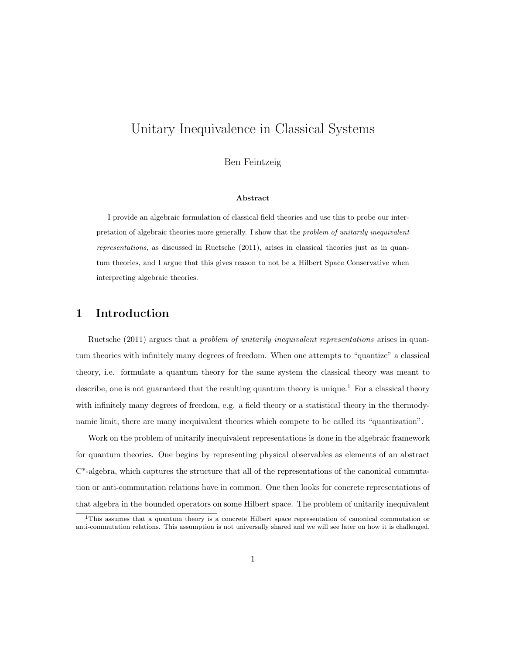# Unitary Inequivalence in Classical Systems

Ben Feintzeig

#### Abstract

I provide an algebraic formulation of classical field theories and use this to probe our interpretation of algebraic theories more generally. I show that the problem of unitarily inequivalent representations, as discussed in Ruetsche (2011), arises in classical theories just as in quantum theories, and I argue that this gives reason to not be a Hilbert Space Conservative when interpreting algebraic theories.

### 1 Introduction

Ruetsche (2011) argues that a problem of unitarily inequivalent representations arises in quantum theories with infinitely many degrees of freedom. When one attempts to "quantize" a classical theory, i.e. formulate a quantum theory for the same system the classical theory was meant to describe, one is not guaranteed that the resulting quantum theory is unique.<sup>1</sup> For a classical theory with infinitely many degrees of freedom, e.g. a field theory or a statistical theory in the thermodynamic limit, there are many inequivalent theories which compete to be called its "quantization".

Work on the problem of unitarily inequivalent representations is done in the algebraic framework for quantum theories. One begins by representing physical observables as elements of an abstract C\*-algebra, which captures the structure that all of the representations of the canonical commutation or anti-commutation relations have in common. One then looks for concrete representations of that algebra in the bounded operators on some Hilbert space. The problem of unitarily inequivalent

<sup>1</sup>This assumes that a quantum theory is a concrete Hilbert space representation of canonical commutation or anti-commutation relations. This assumption is not universally shared and we will see later on how it is challenged.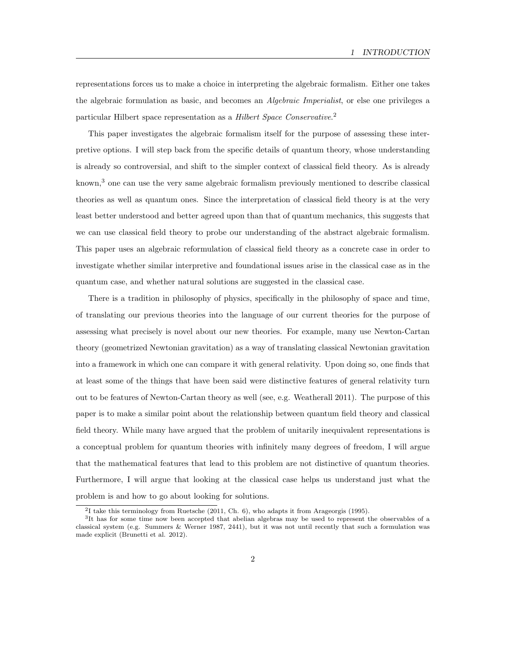representations forces us to make a choice in interpreting the algebraic formalism. Either one takes the algebraic formulation as basic, and becomes an Algebraic Imperialist, or else one privileges a particular Hilbert space representation as a Hilbert Space Conservative.<sup>2</sup>

This paper investigates the algebraic formalism itself for the purpose of assessing these interpretive options. I will step back from the specific details of quantum theory, whose understanding is already so controversial, and shift to the simpler context of classical field theory. As is already known,<sup>3</sup> one can use the very same algebraic formalism previously mentioned to describe classical theories as well as quantum ones. Since the interpretation of classical field theory is at the very least better understood and better agreed upon than that of quantum mechanics, this suggests that we can use classical field theory to probe our understanding of the abstract algebraic formalism. This paper uses an algebraic reformulation of classical field theory as a concrete case in order to investigate whether similar interpretive and foundational issues arise in the classical case as in the quantum case, and whether natural solutions are suggested in the classical case.

There is a tradition in philosophy of physics, specifically in the philosophy of space and time, of translating our previous theories into the language of our current theories for the purpose of assessing what precisely is novel about our new theories. For example, many use Newton-Cartan theory (geometrized Newtonian gravitation) as a way of translating classical Newtonian gravitation into a framework in which one can compare it with general relativity. Upon doing so, one finds that at least some of the things that have been said were distinctive features of general relativity turn out to be features of Newton-Cartan theory as well (see, e.g. Weatherall 2011). The purpose of this paper is to make a similar point about the relationship between quantum field theory and classical field theory. While many have argued that the problem of unitarily inequivalent representations is a conceptual problem for quantum theories with infinitely many degrees of freedom, I will argue that the mathematical features that lead to this problem are not distinctive of quantum theories. Furthermore, I will argue that looking at the classical case helps us understand just what the problem is and how to go about looking for solutions.

<sup>2</sup> I take this terminology from Ruetsche (2011, Ch. 6), who adapts it from Arageorgis (1995).

<sup>&</sup>lt;sup>3</sup>It has for some time now been accepted that abelian algebras may be used to represent the observables of a classical system (e.g. Summers & Werner 1987, 2441), but it was not until recently that such a formulation was made explicit (Brunetti et al. 2012).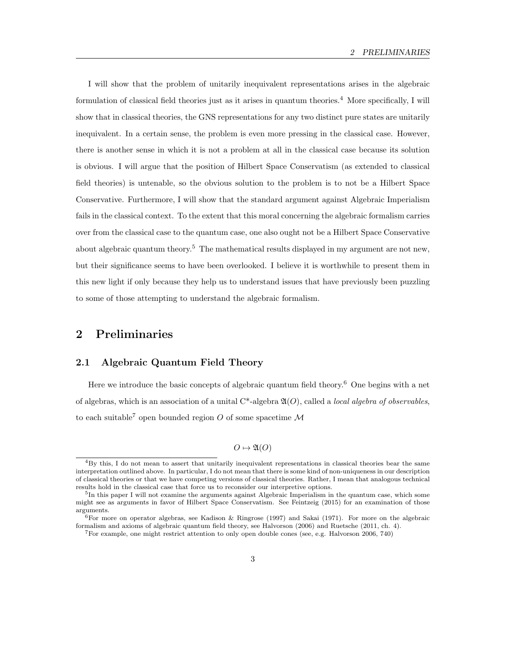I will show that the problem of unitarily inequivalent representations arises in the algebraic formulation of classical field theories just as it arises in quantum theories.<sup>4</sup> More specifically, I will show that in classical theories, the GNS representations for any two distinct pure states are unitarily inequivalent. In a certain sense, the problem is even more pressing in the classical case. However, there is another sense in which it is not a problem at all in the classical case because its solution is obvious. I will argue that the position of Hilbert Space Conservatism (as extended to classical field theories) is untenable, so the obvious solution to the problem is to not be a Hilbert Space Conservative. Furthermore, I will show that the standard argument against Algebraic Imperialism fails in the classical context. To the extent that this moral concerning the algebraic formalism carries over from the classical case to the quantum case, one also ought not be a Hilbert Space Conservative about algebraic quantum theory.<sup>5</sup> The mathematical results displayed in my argument are not new, but their significance seems to have been overlooked. I believe it is worthwhile to present them in this new light if only because they help us to understand issues that have previously been puzzling to some of those attempting to understand the algebraic formalism.

## 2 Preliminaries

### 2.1 Algebraic Quantum Field Theory

Here we introduce the basic concepts of algebraic quantum field theory.<sup>6</sup> One begins with a net of algebras, which is an association of a unital  $C^*$ -algebra  $\mathfrak{A}(O)$ , called a *local algebra of observables*, to each suitable<sup>7</sup> open bounded region O of some spacetime  $\mathcal M$ 

 $O \mapsto \mathfrak{A}(O)$ 

<sup>4</sup>By this, I do not mean to assert that unitarily inequivalent representations in classical theories bear the same interpretation outlined above. In particular, I do not mean that there is some kind of non-uniqueness in our description of classical theories or that we have competing versions of classical theories. Rather, I mean that analogous technical results hold in the classical case that force us to reconsider our interpretive options.

<sup>&</sup>lt;sup>5</sup>In this paper I will not examine the arguments against Algebraic Imperialism in the quantum case, which some might see as arguments in favor of Hilbert Space Conservatism. See Feintzeig (2015) for an examination of those arguments.

 $6$ For more on operator algebras, see Kadison & Ringrose (1997) and Sakai (1971). For more on the algebraic formalism and axioms of algebraic quantum field theory, see Halvorson (2006) and Ruetsche (2011, ch. 4).

<sup>7</sup>For example, one might restrict attention to only open double cones (see, e.g. Halvorson 2006, 740)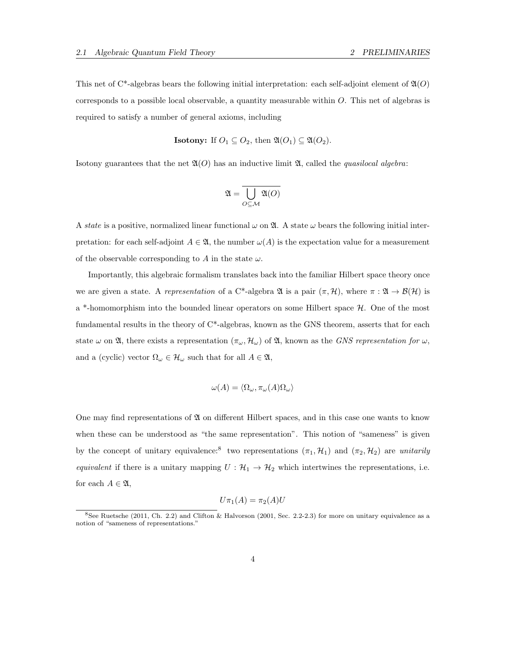This net of C<sup>\*</sup>-algebras bears the following initial interpretation: each self-adjoint element of  $\mathfrak{A}(O)$ corresponds to a possible local observable, a quantity measurable within  $O$ . This net of algebras is required to satisfy a number of general axioms, including

**Isotony:** If 
$$
O_1 \subseteq O_2
$$
, then  $\mathfrak{A}(O_1) \subseteq \mathfrak{A}(O_2)$ .

Isotony guarantees that the net  $\mathfrak{A}(O)$  has an inductive limit  $\mathfrak{A}$ , called the *quasilocal algebra*:

$$
\mathfrak{A}=\overline{\bigcup_{O\subseteq\mathcal{M}}\mathfrak{A}(O)}
$$

A state is a positive, normalized linear functional  $\omega$  on  $\mathfrak{A}$ . A state  $\omega$  bears the following initial interpretation: for each self-adjoint  $A \in \mathfrak{A}$ , the number  $\omega(A)$  is the expectation value for a measurement of the observable corresponding to A in the state  $\omega$ .

Importantly, this algebraic formalism translates back into the familiar Hilbert space theory once we are given a state. A representation of a C\*-algebra  $\mathfrak{A}$  is a pair  $(\pi, \mathcal{H})$ , where  $\pi : \mathfrak{A} \to \mathcal{B}(\mathcal{H})$  is a  $*$ -homomorphism into the bounded linear operators on some Hilbert space  $H$ . One of the most fundamental results in the theory of C\*-algebras, known as the GNS theorem, asserts that for each state  $\omega$  on  $\mathfrak{A}$ , there exists a representation  $(\pi_{\omega}, \mathcal{H}_{\omega})$  of  $\mathfrak{A}$ , known as the GNS representation for  $\omega$ , and a (cyclic) vector  $\Omega_{\omega} \in \mathcal{H}_{\omega}$  such that for all  $A \in \mathfrak{A}$ ,

$$
\omega(A) = \langle \Omega_{\omega}, \pi_{\omega}(A) \Omega_{\omega} \rangle
$$

One may find representations of  $\mathfrak A$  on different Hilbert spaces, and in this case one wants to know when these can be understood as "the same representation". This notion of "sameness" is given by the concept of unitary equivalence:<sup>8</sup> two representations  $(\pi_1, \mathcal{H}_1)$  and  $(\pi_2, \mathcal{H}_2)$  are unitarily equivalent if there is a unitary mapping  $U : \mathcal{H}_1 \to \mathcal{H}_2$  which intertwines the representations, i.e. for each  $A \in \mathfrak{A}$ ,

$$
U\pi_1(A)=\pi_2(A)U
$$

 $8$ See Ruetsche (2011, Ch. 2.2) and Clifton & Halvorson (2001, Sec. 2.2-2.3) for more on unitary equivalence as a notion of "sameness of representations."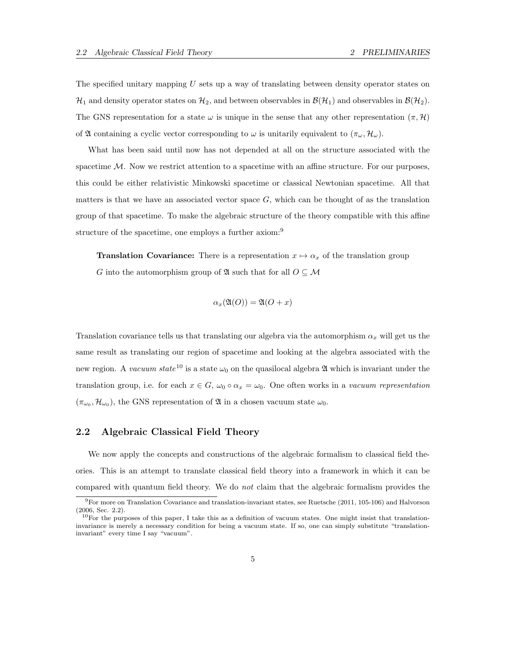The specified unitary mapping U sets up a way of translating between density operator states on  $\mathcal{H}_1$  and density operator states on  $\mathcal{H}_2$ , and between observables in  $\mathcal{B}(\mathcal{H}_1)$  and observables in  $\mathcal{B}(\mathcal{H}_2)$ . The GNS representation for a state  $\omega$  is unique in the sense that any other representation  $(\pi, \mathcal{H})$ of  $\mathfrak A$  containing a cyclic vector corresponding to  $\omega$  is unitarily equivalent to  $(\pi_\omega, \mathcal{H}_\omega)$ .

What has been said until now has not depended at all on the structure associated with the spacetime  $M$ . Now we restrict attention to a spacetime with an affine structure. For our purposes, this could be either relativistic Minkowski spacetime or classical Newtonian spacetime. All that matters is that we have an associated vector space  $G$ , which can be thought of as the translation group of that spacetime. To make the algebraic structure of the theory compatible with this affine structure of the spacetime, one employs a further axiom:<sup>9</sup>

**Translation Covariance:** There is a representation  $x \mapsto \alpha_x$  of the translation group G into the automorphism group of  $\mathfrak A$  such that for all  $O\subseteq\mathcal M$ 

$$
\alpha_x(\mathfrak{A}(O)) = \mathfrak{A}(O+x)
$$

Translation covariance tells us that translating our algebra via the automorphism  $\alpha_x$  will get us the same result as translating our region of spacetime and looking at the algebra associated with the new region. A vacuum state<sup>10</sup> is a state  $\omega_0$  on the quasilocal algebra  $\mathfrak A$  which is invariant under the translation group, i.e. for each  $x \in G$ ,  $\omega_0 \circ \alpha_x = \omega_0$ . One often works in a *vacuum representation*  $(\pi_{\omega_0}, \mathcal{H}_{\omega_0})$ , the GNS representation of  $\mathfrak{A}$  in a chosen vacuum state  $\omega_0$ .

### 2.2 Algebraic Classical Field Theory

We now apply the concepts and constructions of the algebraic formalism to classical field theories. This is an attempt to translate classical field theory into a framework in which it can be compared with quantum field theory. We do not claim that the algebraic formalism provides the

 $9$ For more on Translation Covariance and translation-invariant states, see Ruetsche (2011, 105-106) and Halvorson (2006, Sec. 2.2).

 $10$ For the purposes of this paper, I take this as a definition of vacuum states. One might insist that translationinvariance is merely a necessary condition for being a vacuum state. If so, one can simply substitute "translationinvariant" every time I say "vacuum".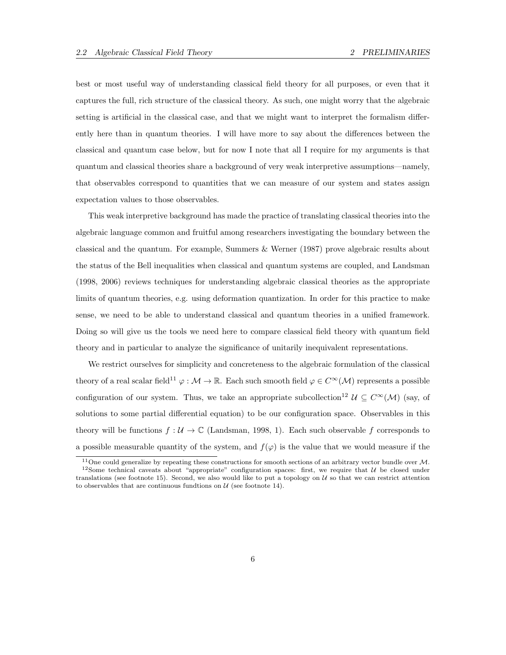best or most useful way of understanding classical field theory for all purposes, or even that it captures the full, rich structure of the classical theory. As such, one might worry that the algebraic setting is artificial in the classical case, and that we might want to interpret the formalism differently here than in quantum theories. I will have more to say about the differences between the classical and quantum case below, but for now I note that all I require for my arguments is that quantum and classical theories share a background of very weak interpretive assumptions—namely, that observables correspond to quantities that we can measure of our system and states assign expectation values to those observables.

This weak interpretive background has made the practice of translating classical theories into the algebraic language common and fruitful among researchers investigating the boundary between the classical and the quantum. For example, Summers & Werner (1987) prove algebraic results about the status of the Bell inequalities when classical and quantum systems are coupled, and Landsman (1998, 2006) reviews techniques for understanding algebraic classical theories as the appropriate limits of quantum theories, e.g. using deformation quantization. In order for this practice to make sense, we need to be able to understand classical and quantum theories in a unified framework. Doing so will give us the tools we need here to compare classical field theory with quantum field theory and in particular to analyze the significance of unitarily inequivalent representations.

We restrict ourselves for simplicity and concreteness to the algebraic formulation of the classical theory of a real scalar field<sup>11</sup>  $\varphi : \mathcal{M} \to \mathbb{R}$ . Each such smooth field  $\varphi \in C^{\infty}(\mathcal{M})$  represents a possible configuration of our system. Thus, we take an appropriate subcollection<sup>12</sup>  $\mathcal{U} \subseteq C^{\infty}(\mathcal{M})$  (say, of solutions to some partial differential equation) to be our configuration space. Observables in this theory will be functions  $f: U \to \mathbb{C}$  (Landsman, 1998, 1). Each such observable f corresponds to a possible measurable quantity of the system, and  $f(\varphi)$  is the value that we would measure if the

 $11$ One could generalize by repeating these constructions for smooth sections of an arbitrary vector bundle over M. <sup>12</sup>Some technical caveats about "appropriate" configuration spaces: first, we require that  $U$  be closed under translations (see footnote 15). Second, we also would like to put a topology on  $U$  so that we can restrict attention to observables that are continuous fundtions on  $\mathcal U$  (see footnote 14).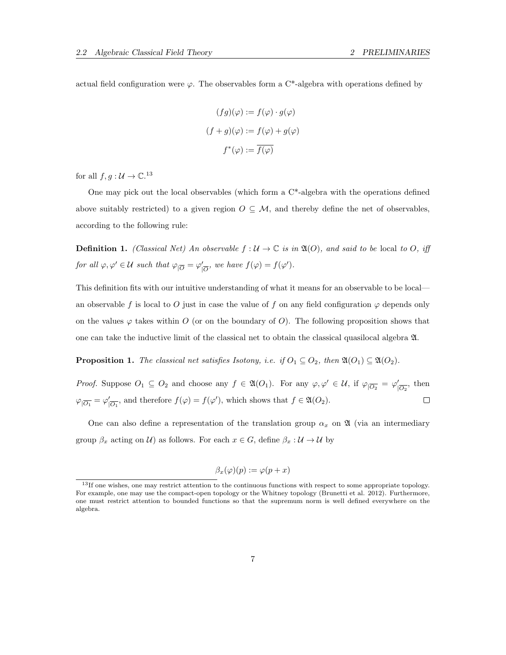actual field configuration were  $\varphi$ . The observables form a C<sup>\*</sup>-algebra with operations defined by

$$
(fg)(\varphi) := f(\varphi) \cdot g(\varphi)
$$

$$
(f+g)(\varphi) := f(\varphi) + g(\varphi)
$$

$$
f^*(\varphi) := \overline{f(\varphi)}
$$

for all  $f, g: \mathcal{U} \to \mathbb{C}^{13}$ 

One may pick out the local observables (which form a C\*-algebra with the operations defined above suitably restricted) to a given region  $O \subseteq M$ , and thereby define the net of observables, according to the following rule:

**Definition 1.** (Classical Net) An observable  $f: \mathcal{U} \to \mathbb{C}$  is in  $\mathfrak{A}(O)$ , and said to be local to O, iff for all  $\varphi, \varphi' \in \mathcal{U}$  such that  $\varphi_{|\overline{O}} = \varphi'_{|}$  $\int_{\overline{\mathcal{O}}}$ , we have  $f(\varphi) = f(\varphi')$ .

This definition fits with our intuitive understanding of what it means for an observable to be local an observable f is local to O just in case the value of f on any field configuration  $\varphi$  depends only on the values  $\varphi$  takes within O (or on the boundary of O). The following proposition shows that one can take the inductive limit of the classical net to obtain the classical quasilocal algebra A.

**Proposition 1.** The classical net satisfies Isotony, i.e. if  $O_1 \subseteq O_2$ , then  $\mathfrak{A}(O_1) \subseteq \mathfrak{A}(O_2)$ .

*Proof.* Suppose  $O_1 \subseteq O_2$  and choose any  $f \in \mathfrak{A}(O_1)$ . For any  $\varphi, \varphi' \in \mathcal{U}$ , if  $\varphi_{\vert O_2} = \varphi'_{\vert O_2}$  $\sqrt{\overline{O_2}}$ , then  $\varphi_{|\overline{O_1}} = \varphi_1'$  $\int_{\overline{|O_1}}$ , and therefore  $f(\varphi) = f(\varphi')$ , which shows that  $f \in \mathfrak{A}(O_2)$ .  $\Box$ 

One can also define a representation of the translation group  $\alpha_x$  on  $\mathfrak A$  (via an intermediary group  $\beta_x$  acting on U) as follows. For each  $x \in G$ , define  $\beta_x : U \to U$  by

$$
\beta_x(\varphi)(p) := \varphi(p+x)
$$

<sup>&</sup>lt;sup>13</sup>If one wishes, one may restrict attention to the continuous functions with respect to some appropriate topology. For example, one may use the compact-open topology or the Whitney topology (Brunetti et al. 2012). Furthermore, one must restrict attention to bounded functions so that the supremum norm is well defined everywhere on the algebra.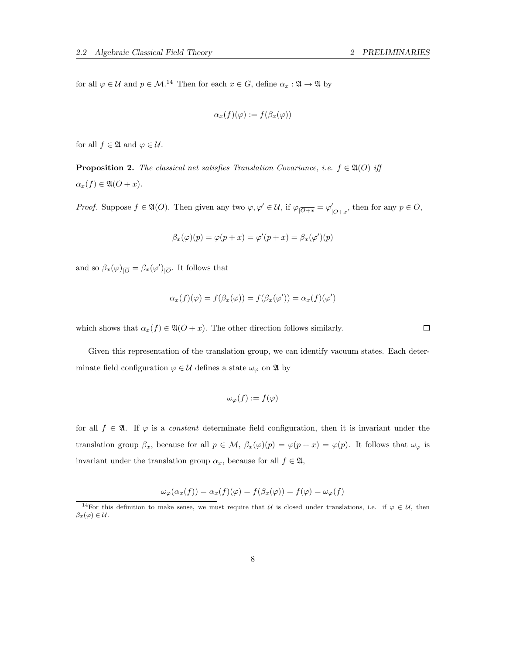for all  $\varphi \in \mathcal{U}$  and  $p \in \mathcal{M}$ .<sup>14</sup> Then for each  $x \in G$ , define  $\alpha_x : \mathfrak{A} \to \mathfrak{A}$  by

$$
\alpha_x(f)(\varphi) := f(\beta_x(\varphi))
$$

for all  $f \in \mathfrak{A}$  and  $\varphi \in \mathcal{U}$ .

**Proposition 2.** The classical net satisfies Translation Covariance, i.e.  $f \in \mathfrak{A}(O)$  iff  $\alpha_x(f) \in \mathfrak{A}(O+x).$ 

*Proof.* Suppose  $f \in \mathfrak{A}(O)$ . Then given any two  $\varphi, \varphi' \in \mathcal{U}$ , if  $\varphi_{\vert \overline{O+x}} = \varphi'_{\vert}$  $\sqrt{\overline{O+x}}$ , then for any  $p \in O$ ,

$$
\beta_x(\varphi)(p) = \varphi(p+x) = \varphi'(p+x) = \beta_x(\varphi')(p)
$$

and so  $\beta_x(\varphi)|_{\overline{O}} = \beta_x(\varphi')_{|\overline{O}}$ . It follows that

$$
\alpha_x(f)(\varphi) = f(\beta_x(\varphi)) = f(\beta_x(\varphi')) = \alpha_x(f)(\varphi')
$$

which shows that  $\alpha_x(f) \in \mathfrak{A}(O+x)$ . The other direction follows similarly.

Given this representation of the translation group, we can identify vacuum states. Each determinate field configuration  $\varphi \in \mathcal{U}$  defines a state  $\omega_{\varphi}$  on  $\mathfrak{A}$  by

$$
\omega_{\varphi}(f) := f(\varphi)
$$

for all  $f \in \mathfrak{A}$ . If  $\varphi$  is a constant determinate field configuration, then it is invariant under the translation group  $\beta_x$ , because for all  $p \in \mathcal{M}$ ,  $\beta_x(\varphi)(p) = \varphi(p+x) = \varphi(p)$ . It follows that  $\omega_{\varphi}$  is invariant under the translation group  $\alpha_x$ , because for all  $f \in \mathfrak{A}$ ,

$$
\omega_{\varphi}(\alpha_x(f)) = \alpha_x(f)(\varphi) = f(\beta_x(\varphi)) = f(\varphi) = \omega_{\varphi}(f)
$$

 $\Box$ 

<sup>&</sup>lt;sup>14</sup>For this definition to make sense, we must require that U is closed under translations, i.e. if  $\varphi \in U$ , then  $\beta_x(\varphi) \in \mathcal{U}.$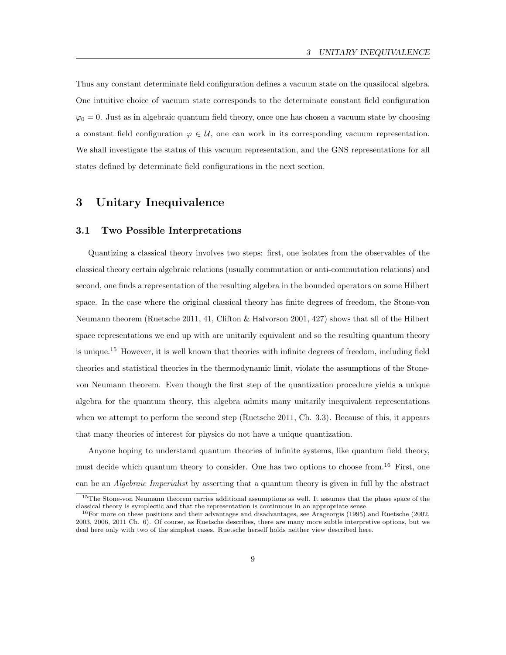Thus any constant determinate field configuration defines a vacuum state on the quasilocal algebra. One intuitive choice of vacuum state corresponds to the determinate constant field configuration  $\varphi_0 = 0$ . Just as in algebraic quantum field theory, once one has chosen a vacuum state by choosing a constant field configuration  $\varphi \in \mathcal{U}$ , one can work in its corresponding vacuum representation. We shall investigate the status of this vacuum representation, and the GNS representations for all states defined by determinate field configurations in the next section.

## 3 Unitary Inequivalence

### 3.1 Two Possible Interpretations

Quantizing a classical theory involves two steps: first, one isolates from the observables of the classical theory certain algebraic relations (usually commutation or anti-commutation relations) and second, one finds a representation of the resulting algebra in the bounded operators on some Hilbert space. In the case where the original classical theory has finite degrees of freedom, the Stone-von Neumann theorem (Ruetsche 2011, 41, Clifton & Halvorson 2001, 427) shows that all of the Hilbert space representations we end up with are unitarily equivalent and so the resulting quantum theory is unique.<sup>15</sup> However, it is well known that theories with infinite degrees of freedom, including field theories and statistical theories in the thermodynamic limit, violate the assumptions of the Stonevon Neumann theorem. Even though the first step of the quantization procedure yields a unique algebra for the quantum theory, this algebra admits many unitarily inequivalent representations when we attempt to perform the second step (Ruetsche 2011, Ch. 3.3). Because of this, it appears that many theories of interest for physics do not have a unique quantization.

Anyone hoping to understand quantum theories of infinite systems, like quantum field theory, must decide which quantum theory to consider. One has two options to choose from.<sup>16</sup> First, one can be an Algebraic Imperialist by asserting that a quantum theory is given in full by the abstract

<sup>15</sup>The Stone-von Neumann theorem carries additional assumptions as well. It assumes that the phase space of the classical theory is symplectic and that the representation is continuous in an appropriate sense.

<sup>16</sup>For more on these positions and their advantages and disadvantages, see Arageorgis (1995) and Ruetsche (2002, 2003, 2006, 2011 Ch. 6). Of course, as Ruetsche describes, there are many more subtle interpretive options, but we deal here only with two of the simplest cases. Ruetsche herself holds neither view described here.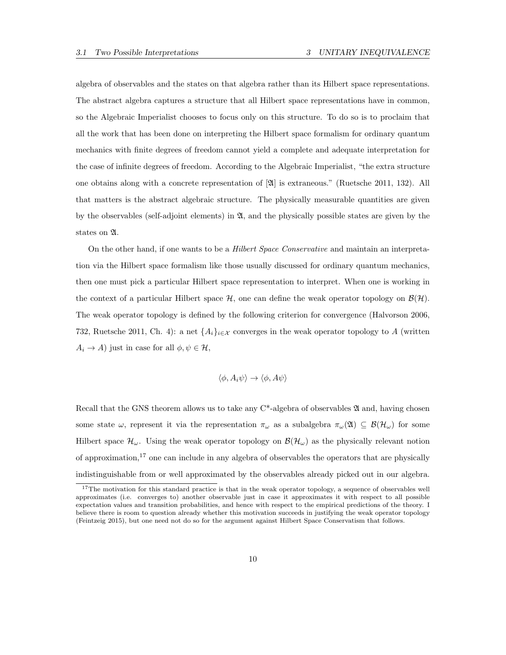algebra of observables and the states on that algebra rather than its Hilbert space representations. The abstract algebra captures a structure that all Hilbert space representations have in common, so the Algebraic Imperialist chooses to focus only on this structure. To do so is to proclaim that all the work that has been done on interpreting the Hilbert space formalism for ordinary quantum mechanics with finite degrees of freedom cannot yield a complete and adequate interpretation for the case of infinite degrees of freedom. According to the Algebraic Imperialist, "the extra structure one obtains along with a concrete representation of [A] is extraneous." (Ruetsche 2011, 132). All that matters is the abstract algebraic structure. The physically measurable quantities are given by the observables (self-adjoint elements) in  $\mathfrak{A}$ , and the physically possible states are given by the states on A.

On the other hand, if one wants to be a Hilbert Space Conservative and maintain an interpretation via the Hilbert space formalism like those usually discussed for ordinary quantum mechanics, then one must pick a particular Hilbert space representation to interpret. When one is working in the context of a particular Hilbert space  $\mathcal{H}$ , one can define the weak operator topology on  $\mathcal{B}(\mathcal{H})$ . The weak operator topology is defined by the following criterion for convergence (Halvorson 2006, 732, Ruetsche 2011, Ch. 4): a net  $\{A_i\}_{i\in\mathcal{X}}$  converges in the weak operator topology to A (written  $A_i \rightarrow A$ ) just in case for all  $\phi, \psi \in \mathcal{H}$ ,

$$
\langle \phi, A_i \psi \rangle \to \langle \phi, A \psi \rangle
$$

Recall that the GNS theorem allows us to take any  $C^*$ -algebra of observables  $\mathfrak A$  and, having chosen some state  $\omega$ , represent it via the representation  $\pi_{\omega}$  as a subalgebra  $\pi_{\omega}(\mathfrak{A}) \subseteq \mathcal{B}(\mathcal{H}_{\omega})$  for some Hilbert space  $\mathcal{H}_{\omega}$ . Using the weak operator topology on  $\mathcal{B}(\mathcal{H}_{\omega})$  as the physically relevant notion of approximation,<sup>17</sup> one can include in any algebra of observables the operators that are physically indistinguishable from or well approximated by the observables already picked out in our algebra.

<sup>&</sup>lt;sup>17</sup>The motivation for this standard practice is that in the weak operator topology, a sequence of observables well approximates (i.e. converges to) another observable just in case it approximates it with respect to all possible expectation values and transition probabilities, and hence with respect to the empirical predictions of the theory. I believe there is room to question already whether this motivation succeeds in justifying the weak operator topology (Feintzeig 2015), but one need not do so for the argument against Hilbert Space Conservatism that follows.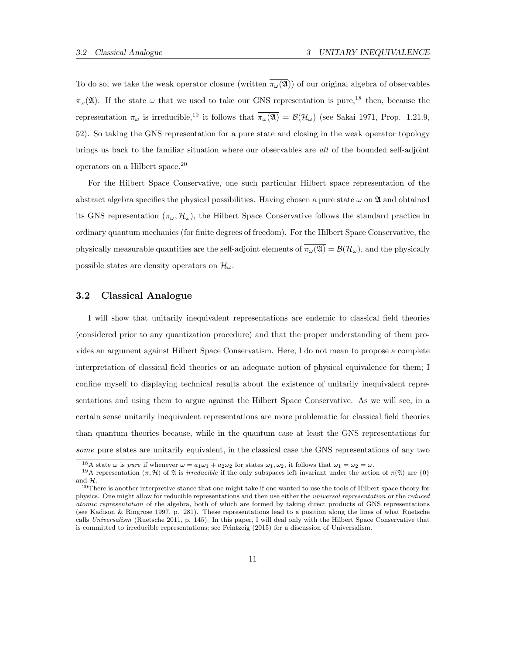To do so, we take the weak operator closure (written  $\overline{\pi_{\omega}(\mathfrak{A})}$ ) of our original algebra of observables  $\pi_{\omega}(\mathfrak{A})$ . If the state  $\omega$  that we used to take our GNS representation is pure,<sup>18</sup> then, because the representation  $\pi_{\omega}$  is irreducible,<sup>19</sup> it follows that  $\overline{\pi_{\omega}(\mathfrak{A})} = \mathcal{B}(\mathcal{H}_{\omega})$  (see Sakai 1971, Prop. 1.21.9, 52). So taking the GNS representation for a pure state and closing in the weak operator topology brings us back to the familiar situation where our observables are all of the bounded self-adjoint operators on a Hilbert space.<sup>20</sup>

For the Hilbert Space Conservative, one such particular Hilbert space representation of the abstract algebra specifies the physical possibilities. Having chosen a pure state  $\omega$  on  $\mathfrak A$  and obtained its GNS representation  $(\pi_{\omega}, \mathcal{H}_{\omega})$ , the Hilbert Space Conservative follows the standard practice in ordinary quantum mechanics (for finite degrees of freedom). For the Hilbert Space Conservative, the physically measurable quantities are the self-adjoint elements of  $\pi_{\omega}(\mathfrak{A}) = \mathcal{B}(\mathcal{H}_{\omega})$ , and the physically possible states are density operators on  $\mathcal{H}_{\omega}$ .

### 3.2 Classical Analogue

I will show that unitarily inequivalent representations are endemic to classical field theories (considered prior to any quantization procedure) and that the proper understanding of them provides an argument against Hilbert Space Conservatism. Here, I do not mean to propose a complete interpretation of classical field theories or an adequate notion of physical equivalence for them; I confine myself to displaying technical results about the existence of unitarily inequivalent representations and using them to argue against the Hilbert Space Conservative. As we will see, in a certain sense unitarily inequivalent representations are more problematic for classical field theories than quantum theories because, while in the quantum case at least the GNS representations for some pure states are unitarily equivalent, in the classical case the GNS representations of any two

<sup>&</sup>lt;sup>18</sup>A state  $\omega$  is *pure* if whenever  $\omega = a_1\omega_1 + a_2\omega_2$  for states  $\omega_1$ ,  $\omega_2$ , it follows that  $\omega_1 = \omega_2 = \omega$ .

<sup>&</sup>lt;sup>19</sup>A representation  $(\pi, \mathcal{H})$  of  $\mathfrak A$  is *irreducible* if the only subspaces left invariant under the action of  $\pi(\mathfrak A)$  are  $\{0\}$ and H.

 $20$ There is another interpretive stance that one might take if one wanted to use the tools of Hilbert space theory for physics. One might allow for reducible representations and then use either the universal representation or the reduced atomic representation of the algebra, both of which are formed by taking direct products of GNS representations (see Kadison & Ringrose 1997, p. 281). These representations lead to a position along the lines of what Ruetsche calls Universalism (Ruetsche 2011, p. 145). In this paper, I will deal only with the Hilbert Space Conservative that is committed to irreducible representations; see Feintzeig (2015) for a discussion of Universalism.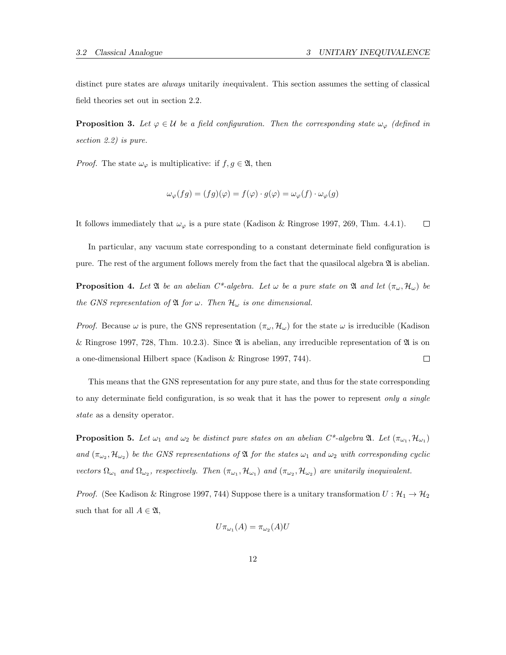distinct pure states are *always* unitarily *inequivalent*. This section assumes the setting of classical field theories set out in section 2.2.

**Proposition 3.** Let  $\varphi \in \mathcal{U}$  be a field configuration. Then the corresponding state  $\omega_{\varphi}$  (defined in section 2.2) is pure.

*Proof.* The state  $\omega_{\varphi}$  is multiplicative: if  $f, g \in \mathfrak{A}$ , then

$$
\omega_{\varphi}(fg) = (fg)(\varphi) = f(\varphi) \cdot g(\varphi) = \omega_{\varphi}(f) \cdot \omega_{\varphi}(g)
$$

 $\Box$ It follows immediately that  $\omega_{\varphi}$  is a pure state (Kadison & Ringrose 1997, 269, Thm. 4.4.1).

In particular, any vacuum state corresponding to a constant determinate field configuration is pure. The rest of the argument follows merely from the fact that the quasilocal algebra  $\mathfrak A$  is abelian.

**Proposition 4.** Let  $\mathfrak{A}$  be an abelian  $C^*$ -algebra. Let  $\omega$  be a pure state on  $\mathfrak{A}$  and let  $(\pi_{\omega}, \mathcal{H}_{\omega})$  be the GNS representation of  $\mathfrak A$  for  $\omega$ . Then  $\mathcal H_{\omega}$  is one dimensional.

*Proof.* Because  $\omega$  is pure, the GNS representation  $(\pi_{\omega}, \mathcal{H}_{\omega})$  for the state  $\omega$  is irreducible (Kadison & Ringrose 1997, 728, Thm. 10.2.3). Since  $\mathfrak A$  is abelian, any irreducible representation of  $\mathfrak A$  is on a one-dimensional Hilbert space (Kadison & Ringrose 1997, 744).  $\Box$ 

This means that the GNS representation for any pure state, and thus for the state corresponding to any determinate field configuration, is so weak that it has the power to represent only a single state as a density operator.

**Proposition 5.** Let  $\omega_1$  and  $\omega_2$  be distinct pure states on an abelian  $C^*$ -algebra  $\mathfrak{A}$ . Let  $(\pi_{\omega_1}, \mathcal{H}_{\omega_1})$ and  $(\pi_{\omega_2}, \mathcal{H}_{\omega_2})$  be the GNS representations of  $\mathfrak A$  for the states  $\omega_1$  and  $\omega_2$  with corresponding cyclic vectors  $\Omega_{\omega_1}$  and  $\Omega_{\omega_2}$ , respectively. Then  $(\pi_{\omega_1}, \mathcal{H}_{\omega_1})$  and  $(\pi_{\omega_2}, \mathcal{H}_{\omega_2})$  are unitarily inequivalent.

*Proof.* (See Kadison & Ringrose 1997, 744) Suppose there is a unitary transformation  $U: \mathcal{H}_1 \to \mathcal{H}_2$ such that for all  $A \in \mathfrak{A}$ ,

$$
U\pi_{\omega_1}(A) = \pi_{\omega_2}(A)U
$$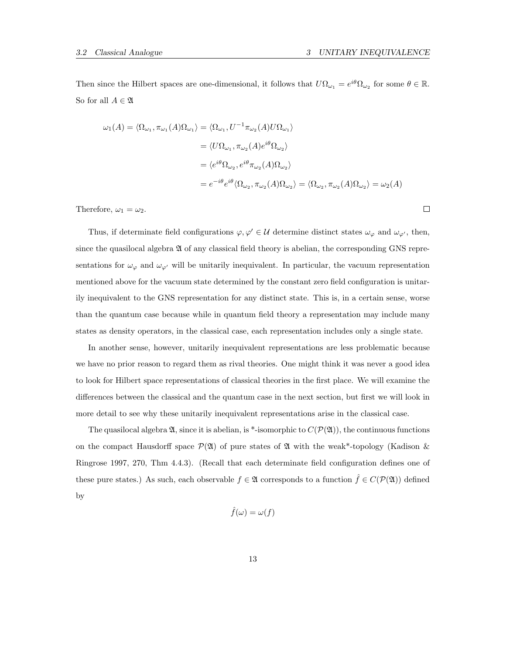$\Box$ 

Then since the Hilbert spaces are one-dimensional, it follows that  $U\Omega_{\omega_1} = e^{i\theta}\Omega_{\omega_2}$  for some  $\theta \in \mathbb{R}$ . So for all  $A \in \mathfrak{A}$ 

$$
\omega_1(A) = \langle \Omega_{\omega_1}, \pi_{\omega_1}(A)\Omega_{\omega_1} \rangle = \langle \Omega_{\omega_1}, U^{-1}\pi_{\omega_2}(A)U\Omega_{\omega_1} \rangle
$$
  
\n
$$
= \langle U\Omega_{\omega_1}, \pi_{\omega_2}(A)e^{i\theta}\Omega_{\omega_2} \rangle
$$
  
\n
$$
= \langle e^{i\theta}\Omega_{\omega_2}, e^{i\theta}\pi_{\omega_2}(A)\Omega_{\omega_2} \rangle
$$
  
\n
$$
= e^{-i\theta}e^{i\theta}\langle \Omega_{\omega_2}, \pi_{\omega_2}(A)\Omega_{\omega_2} \rangle = \langle \Omega_{\omega_2}, \pi_{\omega_2}(A)\Omega_{\omega_2} \rangle = \omega_2(A)
$$

Therefore,  $\omega_1 = \omega_2$ .

Thus, if determinate field configurations  $\varphi, \varphi' \in \mathcal{U}$  determine distinct states  $\omega_{\varphi}$  and  $\omega_{\varphi'}$ , then, since the quasilocal algebra  $\mathfrak A$  of any classical field theory is abelian, the corresponding GNS representations for  $\omega_{\varphi}$  and  $\omega_{\varphi'}$  will be unitarily inequivalent. In particular, the vacuum representation mentioned above for the vacuum state determined by the constant zero field configuration is unitarily inequivalent to the GNS representation for any distinct state. This is, in a certain sense, worse than the quantum case because while in quantum field theory a representation may include many states as density operators, in the classical case, each representation includes only a single state.

In another sense, however, unitarily inequivalent representations are less problematic because we have no prior reason to regard them as rival theories. One might think it was never a good idea to look for Hilbert space representations of classical theories in the first place. We will examine the differences between the classical and the quantum case in the next section, but first we will look in more detail to see why these unitarily inequivalent representations arise in the classical case.

The quasilocal algebra  $\mathfrak{A}$ , since it is abelian, is \*-isomorphic to  $C(\mathcal{P}(\mathfrak{A}))$ , the continuous functions on the compact Hausdorff space  $\mathcal{P}(\mathfrak{A})$  of pure states of  $\mathfrak A$  with the weak\*-topology (Kadison & Ringrose 1997, 270, Thm 4.4.3). (Recall that each determinate field configuration defines one of these pure states.) As such, each observable  $f \in \mathfrak{A}$  corresponds to a function  $\hat{f} \in C(\mathcal{P}(\mathfrak{A}))$  defined by

$$
\hat{f}(\omega) = \omega(f)
$$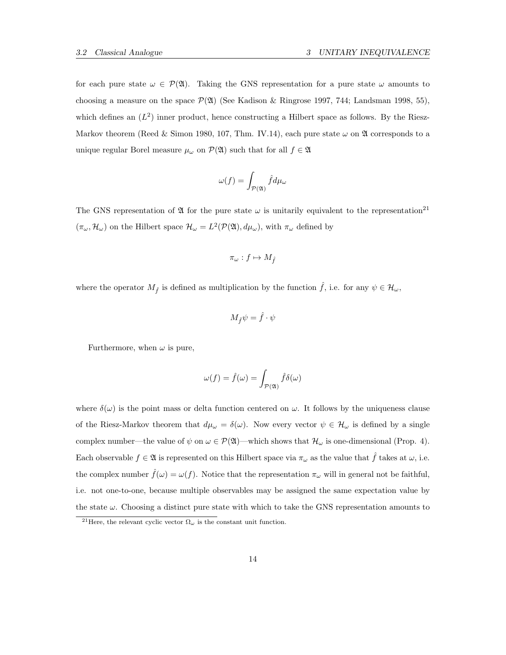for each pure state  $\omega \in \mathcal{P}(\mathfrak{A})$ . Taking the GNS representation for a pure state  $\omega$  amounts to choosing a measure on the space  $\mathcal{P}(\mathfrak{A})$  (See Kadison & Ringrose 1997, 744; Landsman 1998, 55), which defines an  $(L^2)$  inner product, hence constructing a Hilbert space as follows. By the Riesz-Markov theorem (Reed & Simon 1980, 107, Thm. IV.14), each pure state  $\omega$  on  $\mathfrak A$  corresponds to a unique regular Borel measure  $\mu_{\omega}$  on  $\mathcal{P}(\mathfrak{A})$  such that for all  $f \in \mathfrak{A}$ 

$$
\omega(f) = \int_{\mathcal{P}(\mathfrak{A})} \hat{f} d\mu_{\omega}
$$

The GNS representation of  $\mathfrak A$  for the pure state  $\omega$  is unitarily equivalent to the representation<sup>21</sup>  $(\pi_{\omega}, \mathcal{H}_{\omega})$  on the Hilbert space  $\mathcal{H}_{\omega} = L^2(\mathcal{P}(\mathfrak{A}), d\mu_{\omega})$ , with  $\pi_{\omega}$  defined by

$$
\pi_\omega: f \mapsto M_{\hat{f}}
$$

where the operator  $M_{\hat{f}}$  is defined as multiplication by the function  $\hat{f}$ , i.e. for any  $\psi \in \mathcal{H}_{\omega}$ ,

$$
M_{\hat{f}}\psi = \hat{f} \cdot \psi
$$

Furthermore, when  $\omega$  is pure,

$$
\omega(f) = \hat{f}(\omega) = \int_{\mathcal{P}(\mathfrak{A})} \hat{f} \delta(\omega)
$$

where  $\delta(\omega)$  is the point mass or delta function centered on  $\omega$ . It follows by the uniqueness clause of the Riesz-Markov theorem that  $d\mu_{\omega} = \delta(\omega)$ . Now every vector  $\psi \in \mathcal{H}_{\omega}$  is defined by a single complex number—the value of  $\psi$  on  $\omega \in \mathcal{P}(\mathfrak{A})$ —which shows that  $\mathcal{H}_{\omega}$  is one-dimensional (Prop. 4). Each observable  $f \in \mathfrak{A}$  is represented on this Hilbert space via  $\pi_{\omega}$  as the value that  $\hat{f}$  takes at  $\omega$ , i.e. the complex number  $\hat{f}(\omega) = \omega(f)$ . Notice that the representation  $\pi_{\omega}$  will in general not be faithful, i.e. not one-to-one, because multiple observables may be assigned the same expectation value by the state  $\omega$ . Choosing a distinct pure state with which to take the GNS representation amounts to

<sup>&</sup>lt;sup>21</sup>Here, the relevant cyclic vector  $\Omega_{\omega}$  is the constant unit function.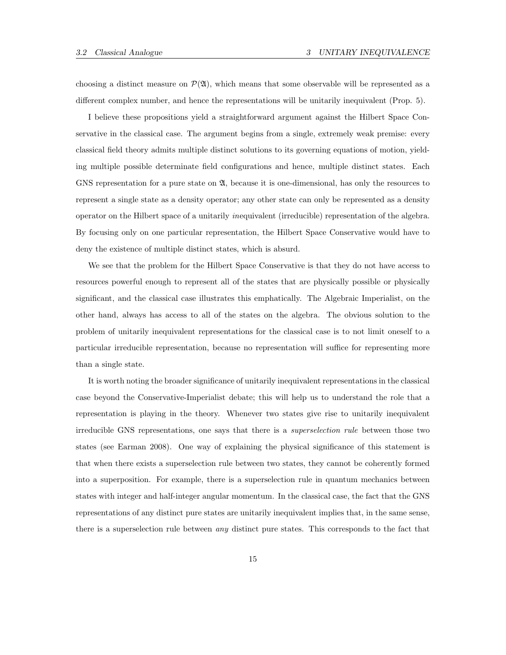choosing a distinct measure on  $\mathcal{P}(\mathfrak{A})$ , which means that some observable will be represented as a different complex number, and hence the representations will be unitarily inequivalent (Prop. 5).

I believe these propositions yield a straightforward argument against the Hilbert Space Conservative in the classical case. The argument begins from a single, extremely weak premise: every classical field theory admits multiple distinct solutions to its governing equations of motion, yielding multiple possible determinate field configurations and hence, multiple distinct states. Each GNS representation for a pure state on  $\mathfrak{A}$ , because it is one-dimensional, has only the resources to represent a single state as a density operator; any other state can only be represented as a density operator on the Hilbert space of a unitarily inequivalent (irreducible) representation of the algebra. By focusing only on one particular representation, the Hilbert Space Conservative would have to deny the existence of multiple distinct states, which is absurd.

We see that the problem for the Hilbert Space Conservative is that they do not have access to resources powerful enough to represent all of the states that are physically possible or physically significant, and the classical case illustrates this emphatically. The Algebraic Imperialist, on the other hand, always has access to all of the states on the algebra. The obvious solution to the problem of unitarily inequivalent representations for the classical case is to not limit oneself to a particular irreducible representation, because no representation will suffice for representing more than a single state.

It is worth noting the broader significance of unitarily inequivalent representations in the classical case beyond the Conservative-Imperialist debate; this will help us to understand the role that a representation is playing in the theory. Whenever two states give rise to unitarily inequivalent irreducible GNS representations, one says that there is a superselection rule between those two states (see Earman 2008). One way of explaining the physical significance of this statement is that when there exists a superselection rule between two states, they cannot be coherently formed into a superposition. For example, there is a superselection rule in quantum mechanics between states with integer and half-integer angular momentum. In the classical case, the fact that the GNS representations of any distinct pure states are unitarily inequivalent implies that, in the same sense, there is a superselection rule between any distinct pure states. This corresponds to the fact that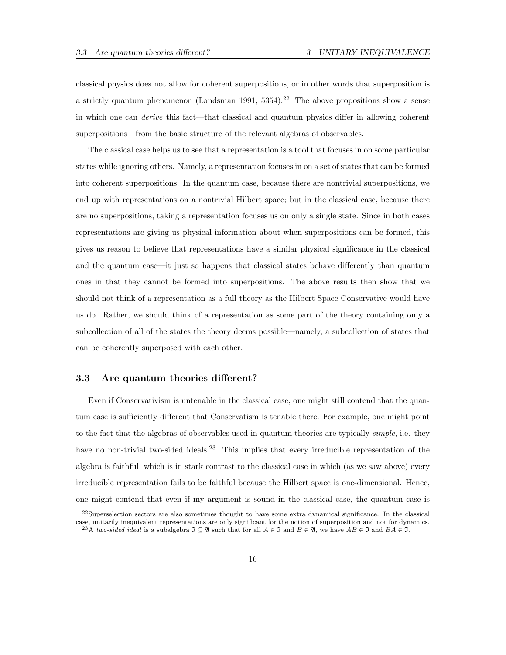classical physics does not allow for coherent superpositions, or in other words that superposition is a strictly quantum phenomenon (Landsman 1991,  $5354$ ).<sup>22</sup> The above propositions show a sense in which one can derive this fact—that classical and quantum physics differ in allowing coherent superpositions—from the basic structure of the relevant algebras of observables.

The classical case helps us to see that a representation is a tool that focuses in on some particular states while ignoring others. Namely, a representation focuses in on a set of states that can be formed into coherent superpositions. In the quantum case, because there are nontrivial superpositions, we end up with representations on a nontrivial Hilbert space; but in the classical case, because there are no superpositions, taking a representation focuses us on only a single state. Since in both cases representations are giving us physical information about when superpositions can be formed, this gives us reason to believe that representations have a similar physical significance in the classical and the quantum case—it just so happens that classical states behave differently than quantum ones in that they cannot be formed into superpositions. The above results then show that we should not think of a representation as a full theory as the Hilbert Space Conservative would have us do. Rather, we should think of a representation as some part of the theory containing only a subcollection of all of the states the theory deems possible—namely, a subcollection of states that can be coherently superposed with each other.

### 3.3 Are quantum theories different?

Even if Conservativism is untenable in the classical case, one might still contend that the quantum case is sufficiently different that Conservatism is tenable there. For example, one might point to the fact that the algebras of observables used in quantum theories are typically *simple*, i.e. they have no non-trivial two-sided ideals.<sup>23</sup> This implies that every irreducible representation of the algebra is faithful, which is in stark contrast to the classical case in which (as we saw above) every irreducible representation fails to be faithful because the Hilbert space is one-dimensional. Hence, one might contend that even if my argument is sound in the classical case, the quantum case is

<sup>22</sup>Superselection sectors are also sometimes thought to have some extra dynamical significance. In the classical case, unitarily inequivalent representations are only significant for the notion of superposition and not for dynamics.

<sup>&</sup>lt;sup>23</sup>A two-sided ideal is a subalgebra  $\mathfrak{I} \subseteq \mathfrak{A}$  such that for all  $A \in \mathfrak{I}$  and  $B \in \mathfrak{A}$ , we have  $AB \in \mathfrak{I}$  and  $BA \in \mathfrak{I}$ .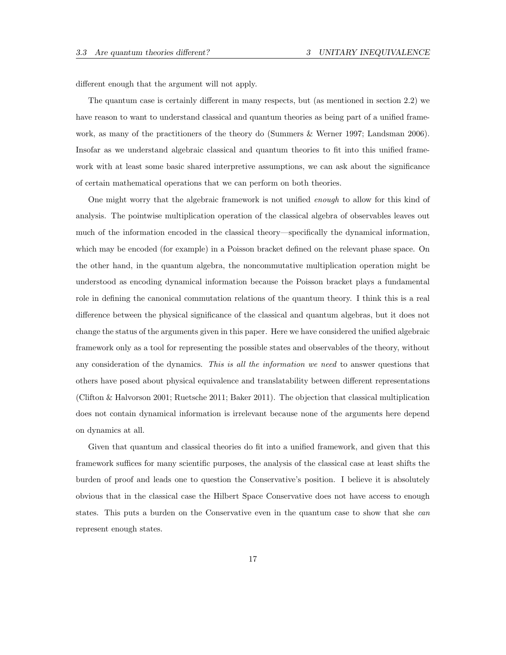different enough that the argument will not apply.

The quantum case is certainly different in many respects, but (as mentioned in section 2.2) we have reason to want to understand classical and quantum theories as being part of a unified framework, as many of the practitioners of the theory do (Summers & Werner 1997; Landsman 2006). Insofar as we understand algebraic classical and quantum theories to fit into this unified framework with at least some basic shared interpretive assumptions, we can ask about the significance of certain mathematical operations that we can perform on both theories.

One might worry that the algebraic framework is not unified enough to allow for this kind of analysis. The pointwise multiplication operation of the classical algebra of observables leaves out much of the information encoded in the classical theory—specifically the dynamical information, which may be encoded (for example) in a Poisson bracket defined on the relevant phase space. On the other hand, in the quantum algebra, the noncommutative multiplication operation might be understood as encoding dynamical information because the Poisson bracket plays a fundamental role in defining the canonical commutation relations of the quantum theory. I think this is a real difference between the physical significance of the classical and quantum algebras, but it does not change the status of the arguments given in this paper. Here we have considered the unified algebraic framework only as a tool for representing the possible states and observables of the theory, without any consideration of the dynamics. This is all the information we need to answer questions that others have posed about physical equivalence and translatability between different representations (Clifton & Halvorson 2001; Ruetsche 2011; Baker 2011). The objection that classical multiplication does not contain dynamical information is irrelevant because none of the arguments here depend on dynamics at all.

Given that quantum and classical theories do fit into a unified framework, and given that this framework suffices for many scientific purposes, the analysis of the classical case at least shifts the burden of proof and leads one to question the Conservative's position. I believe it is absolutely obvious that in the classical case the Hilbert Space Conservative does not have access to enough states. This puts a burden on the Conservative even in the quantum case to show that she can represent enough states.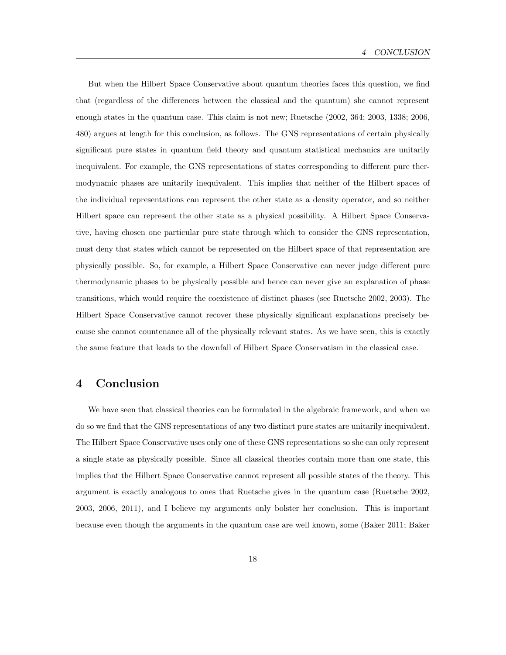But when the Hilbert Space Conservative about quantum theories faces this question, we find that (regardless of the differences between the classical and the quantum) she cannot represent enough states in the quantum case. This claim is not new; Ruetsche (2002, 364; 2003, 1338; 2006, 480) argues at length for this conclusion, as follows. The GNS representations of certain physically significant pure states in quantum field theory and quantum statistical mechanics are unitarily inequivalent. For example, the GNS representations of states corresponding to different pure thermodynamic phases are unitarily inequivalent. This implies that neither of the Hilbert spaces of the individual representations can represent the other state as a density operator, and so neither Hilbert space can represent the other state as a physical possibility. A Hilbert Space Conservative, having chosen one particular pure state through which to consider the GNS representation, must deny that states which cannot be represented on the Hilbert space of that representation are physically possible. So, for example, a Hilbert Space Conservative can never judge different pure thermodynamic phases to be physically possible and hence can never give an explanation of phase transitions, which would require the coexistence of distinct phases (see Ruetsche 2002, 2003). The Hilbert Space Conservative cannot recover these physically significant explanations precisely because she cannot countenance all of the physically relevant states. As we have seen, this is exactly the same feature that leads to the downfall of Hilbert Space Conservatism in the classical case.

## 4 Conclusion

We have seen that classical theories can be formulated in the algebraic framework, and when we do so we find that the GNS representations of any two distinct pure states are unitarily inequivalent. The Hilbert Space Conservative uses only one of these GNS representations so she can only represent a single state as physically possible. Since all classical theories contain more than one state, this implies that the Hilbert Space Conservative cannot represent all possible states of the theory. This argument is exactly analogous to ones that Ruetsche gives in the quantum case (Ruetsche 2002, 2003, 2006, 2011), and I believe my arguments only bolster her conclusion. This is important because even though the arguments in the quantum case are well known, some (Baker 2011; Baker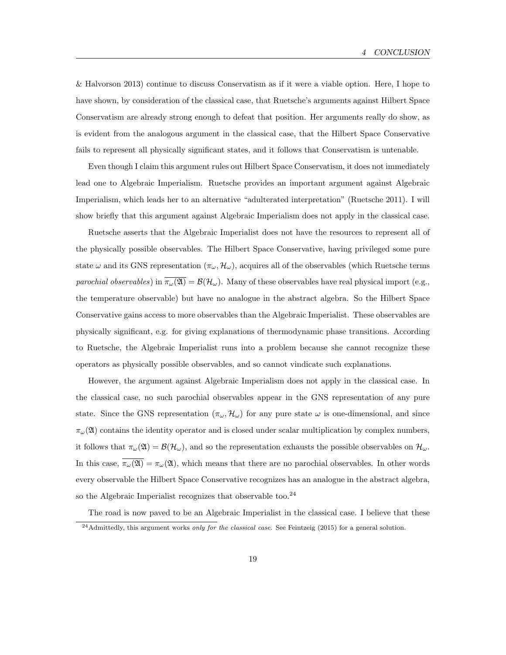& Halvorson 2013) continue to discuss Conservatism as if it were a viable option. Here, I hope to have shown, by consideration of the classical case, that Ruetsche's arguments against Hilbert Space Conservatism are already strong enough to defeat that position. Her arguments really do show, as is evident from the analogous argument in the classical case, that the Hilbert Space Conservative fails to represent all physically significant states, and it follows that Conservatism is untenable.

Even though I claim this argument rules out Hilbert Space Conservatism, it does not immediately lead one to Algebraic Imperialism. Ruetsche provides an important argument against Algebraic Imperialism, which leads her to an alternative "adulterated interpretation" (Ruetsche 2011). I will show briefly that this argument against Algebraic Imperialism does not apply in the classical case.

Ruetsche asserts that the Algebraic Imperialist does not have the resources to represent all of the physically possible observables. The Hilbert Space Conservative, having privileged some pure state  $\omega$  and its GNS representation  $(\pi_{\omega}, \mathcal{H}_{\omega})$ , acquires all of the observables (which Ruetsche terms parochial observables) in  $\overline{\pi_{\omega}(\mathfrak{A})} = \mathcal{B}(\mathcal{H}_{\omega})$ . Many of these observables have real physical import (e.g., the temperature observable) but have no analogue in the abstract algebra. So the Hilbert Space Conservative gains access to more observables than the Algebraic Imperialist. These observables are physically significant, e.g. for giving explanations of thermodynamic phase transitions. According to Ruetsche, the Algebraic Imperialist runs into a problem because she cannot recognize these operators as physically possible observables, and so cannot vindicate such explanations.

However, the argument against Algebraic Imperialism does not apply in the classical case. In the classical case, no such parochial observables appear in the GNS representation of any pure state. Since the GNS representation  $(\pi_\omega, \mathcal{H}_\omega)$  for any pure state  $\omega$  is one-dimensional, and since  $\pi_{\omega}(\mathfrak{A})$  contains the identity operator and is closed under scalar multiplication by complex numbers, it follows that  $\pi_{\omega}(\mathfrak{A}) = \mathcal{B}(\mathcal{H}_{\omega})$ , and so the representation exhausts the possible observables on  $\mathcal{H}_{\omega}$ . In this case,  $\overline{\pi_{\omega}(\mathfrak{A})} = \pi_{\omega}(\mathfrak{A})$ , which means that there are no parochial observables. In other words every observable the Hilbert Space Conservative recognizes has an analogue in the abstract algebra, so the Algebraic Imperialist recognizes that observable too. $^{24}$ 

The road is now paved to be an Algebraic Imperialist in the classical case. I believe that these  $^{24}$ Admittedly, this argument works *only for the classical case*. See Feintzeig (2015) for a general solution.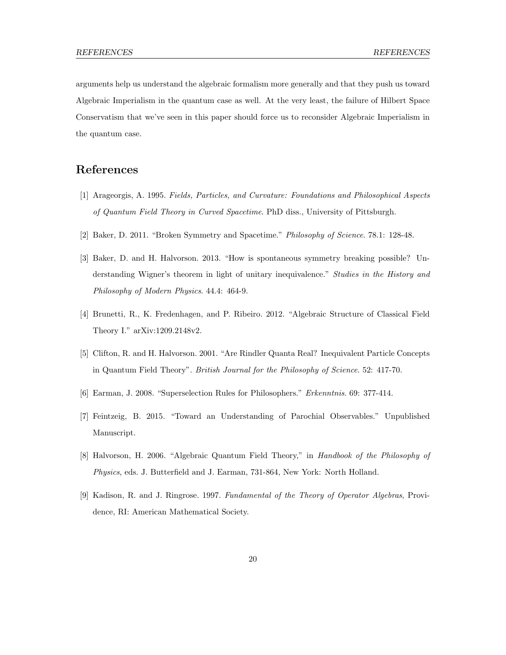arguments help us understand the algebraic formalism more generally and that they push us toward Algebraic Imperialism in the quantum case as well. At the very least, the failure of Hilbert Space Conservatism that we've seen in this paper should force us to reconsider Algebraic Imperialism in the quantum case.

## References

- [1] Arageorgis, A. 1995. Fields, Particles, and Curvature: Foundations and Philosophical Aspects of Quantum Field Theory in Curved Spacetime. PhD diss., University of Pittsburgh.
- [2] Baker, D. 2011. "Broken Symmetry and Spacetime." Philosophy of Science. 78.1: 128-48.
- [3] Baker, D. and H. Halvorson. 2013. "How is spontaneous symmetry breaking possible? Understanding Wigner's theorem in light of unitary inequivalence." Studies in the History and Philosophy of Modern Physics. 44.4: 464-9.
- [4] Brunetti, R., K. Fredenhagen, and P. Ribeiro. 2012. "Algebraic Structure of Classical Field Theory I." arXiv:1209.2148v2.
- [5] Clifton, R. and H. Halvorson. 2001. "Are Rindler Quanta Real? Inequivalent Particle Concepts in Quantum Field Theory". British Journal for the Philosophy of Science. 52: 417-70.
- [6] Earman, J. 2008. "Superselection Rules for Philosophers." Erkenntnis. 69: 377-414.
- [7] Feintzeig, B. 2015. "Toward an Understanding of Parochial Observables." Unpublished Manuscript.
- [8] Halvorson, H. 2006. "Algebraic Quantum Field Theory," in Handbook of the Philosophy of Physics, eds. J. Butterfield and J. Earman, 731-864, New York: North Holland.
- [9] Kadison, R. and J. Ringrose. 1997. Fundamental of the Theory of Operator Algebras, Providence, RI: American Mathematical Society.